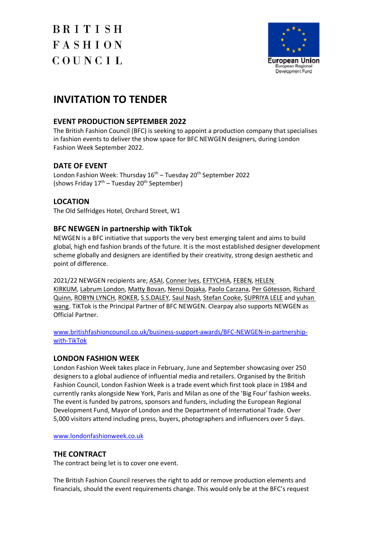

### **INVITATION TO TENDER**

#### **EVENT PRODUCTION SEPTEMBER 2022**

The British Fashion Council (BFC) is seeking to appoint a production company that specialises in fashion events to deliver the show space for BFC NEWGEN designers, during London Fashion Week September 2022.

### **DATE OF EVENT**

London Fashion Week: Thursday  $16<sup>th</sup>$  – Tuesday 20<sup>th</sup> September 2022 (shows Friday  $17<sup>th</sup>$  – Tuesday  $20<sup>th</sup>$  September)

#### **LOCATION**

The Old Selfridges Hotel, Orchard Street, W1

#### **BFC NEWGEN in partnership with TikTok**

NEWGEN is a BFC initiative that supports the very best emerging talent and aims to build global, high end fashion brands of the future. It is the most established designer development scheme globally and designers are identified by their creativity, strong design aesthetic and point of difference.

2021/22 NEWGEN recipients are; ASAI, Conner Ives, EFTYCHIA, FEBEN, HELEN KIRKUM, Labrum London, Matty Bovan, Nensi Dojaka, Paolo Carzana, Per Götesson, Richard Quinn, ROBYN LYNCH, ROKER, S.S.DALEY, Saul Nash, Stefan Cooke, SUPRIYA LELE and yuhan wang. TiKTok is the Principal Partner of BFC NEWGEN. Clearpay also supports NEWGEN as Official Partner.

www.britishfashioncouncil.co.uk/business-support-awards/BFC-NEWGEN-in-partnershipwith-TikTok

#### **LONDON FASHION WEEK**

London Fashion Week takes place in February, June and September showcasing over 250 designers to a global audience of influential media and retailers. Organised by the British Fashion Council, London Fashion Week is a trade event which first took place in 1984 and currently ranks alongside New York, Paris and Milan as one of the 'Big Four' fashion weeks. The event is funded by patrons, sponsors and funders, including the European Regional Development Fund, Mayor of London and the Department of International Trade. Over 5,000 visitors attend including press, buyers, photographers and influencers over 5 days.

www.londonfashionweek.co.uk

#### **THE CONTRACT**

The contract being let is to cover one event.

The British Fashion Council reserves the right to add or remove production elements and financials, should the event requirements change. This would only be at the BFC's request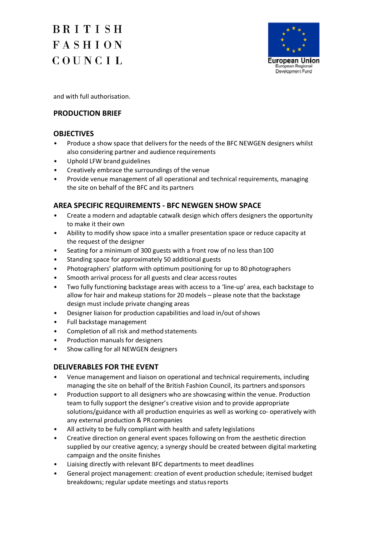

and with full authorisation.

#### **PRODUCTION BRIEF**

#### **OBJECTIVES**

- Produce a show space that delivers for the needs of the BFC NEWGEN designers whilst also considering partner and audience requirements
- Uphold LFW brand guidelines
- Creatively embrace the surroundings of the venue
- Provide venue management of all operational and technical requirements, managing the site on behalf of the BFC and its partners

### **AREA SPECIFIC REQUIREMENTS - BFC NEWGEN SHOW SPACE**

- Create a modern and adaptable catwalk design which offers designers the opportunity to make it their own
- Ability to modify show space into a smaller presentation space or reduce capacity at the request of the designer
- Seating for a minimum of 300 guests with a front row of no less than 100
- Standing space for approximately 50 additional guests
- Photographers' platform with optimum positioning for up to 80 photographers
- Smooth arrival process for all guests and clear access routes
- Two fully functioning backstage areas with access to a 'line-up' area, each backstage to allow for hair and makeup stations for 20 models – please note that the backstage design must include private changing areas
- Designer liaison for production capabilities and load in/out of shows
- Full backstage management
- Completion of all risk and method statements
- Production manuals for designers
- Show calling for all NEWGEN designers

#### **DELIVERABLES FOR THE EVENT**

- Venue management and liaison on operational and technical requirements, including managing the site on behalf of the British Fashion Council, its partners andsponsors
- Production support to all designers who are showcasing within the venue. Production team to fully support the designer's creative vision and to provide appropriate solutions/guidance with all production enquiries as well as working co- operatively with any external production & PR companies
- All activity to be fully compliant with health and safety legislations
- Creative direction on general event spaces following on from the aesthetic direction supplied by our creative agency; a synergy should be created between digital marketing campaign and the onsite finishes
- Liaising directly with relevant BFC departments to meet deadlines
- General project management: creation of event production schedule; itemised budget breakdowns; regular update meetings and status reports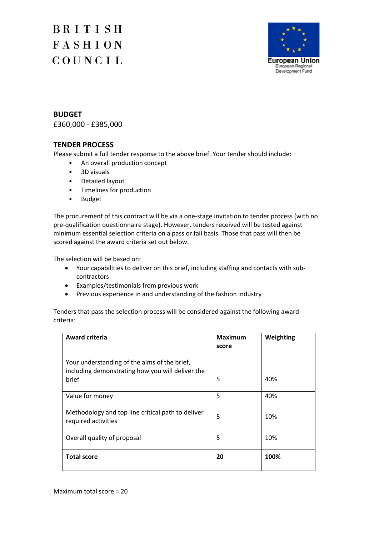

### **BUDGET**

£360,000 - £385,000

#### **TENDER PROCESS**

Please submit a full tender response to the above brief. Your tender should include:

- An overall production concept
- 3D visuals
- Detailed layout
- Timelines for production
- Budget

The procurement of this contract will be via a one-stage invitation to tender process (with no pre-qualification questionnaire stage). However, tenders received will be tested against minimum essential selection criteria on a pass or fail basis. Those that pass will then be scored against the award criteria set out below.

The selection will be based on:

- · Your capabilities to deliver on this brief, including staffing and contacts with subcontractors
- · Examples/testimonials from previous work
- · Previous experience in and understanding of the fashion industry

Tenders that pass the selection process will be considered against the following award criteria:

| <b>Award criteria</b>                                                                                     | <b>Maximum</b><br>score | Weighting |
|-----------------------------------------------------------------------------------------------------------|-------------------------|-----------|
| Your understanding of the aims of the brief,<br>including demonstrating how you will deliver the<br>brief | 5                       | 40%       |
| Value for money                                                                                           | 5                       | 40%       |
| Methodology and top line critical path to deliver<br>required activities                                  | 5                       | 10%       |
| Overall quality of proposal                                                                               | 5                       | 10%       |
| <b>Total score</b>                                                                                        | 20                      | 100%      |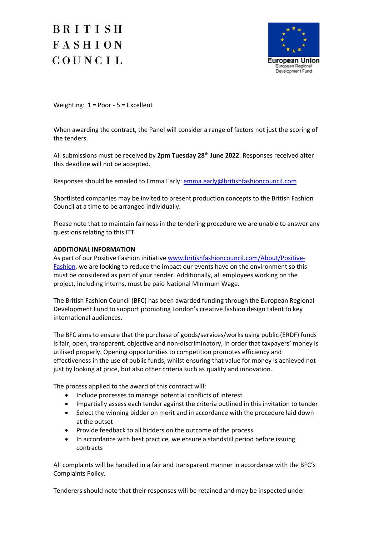

Weighting: 1 = Poor - 5 = Excellent

When awarding the contract, the Panel will consider a range of factors not just the scoring of the tenders.

All submissions must be received by **2pm Tuesday 28th June 2022**. Responses received after this deadline will not be accepted.

Responses should be emailed to Emma Early: emma.early@britishfashioncouncil.com

Shortlisted companies may be invited to present production concepts to the British Fashion Council at a time to be arranged individually.

Please note that to maintain fairness in the tendering procedure we are unable to answer any questions relating to this ITT.

#### **ADDITIONAL INFORMATION**

As part of our Positive Fashion initiative www.britishfashioncouncil.com/About/Positive-Fashion, we are looking to reduce the impact our events have on the environment so this must be considered as part of your tender. Additionally, all employees working on the project, including interns, must be paid National Minimum Wage.

The British Fashion Council (BFC) has been awarded funding through the European Regional Development Fund to support promoting London's creative fashion design talent to key international audiences.

The BFC aims to ensure that the purchase of goods/services/works using public (ERDF) funds is fair, open, transparent, objective and non-discriminatory, in order that taxpayers' money is utilised properly. Opening opportunities to competition promotes efficiency and effectiveness in the use of public funds, whilst ensuring that value for money is achieved not just by looking at price, but also other criteria such as quality and innovation.

The process applied to the award of this contract will:

- · Include processes to manage potential conflicts of interest
- · Impartially assess each tender against the criteria outlined in this invitation to tender
- · Select the winning bidder on merit and in accordance with the procedure laid down at the outset
- · Provide feedback to all bidders on the outcome of the process
- · In accordance with best practice, we ensure a standstill period before issuing contracts

All complaints will be handled in a fair and transparent manner in accordance with the BFC's Complaints Policy.

Tenderers should note that their responses will be retained and may be inspected under